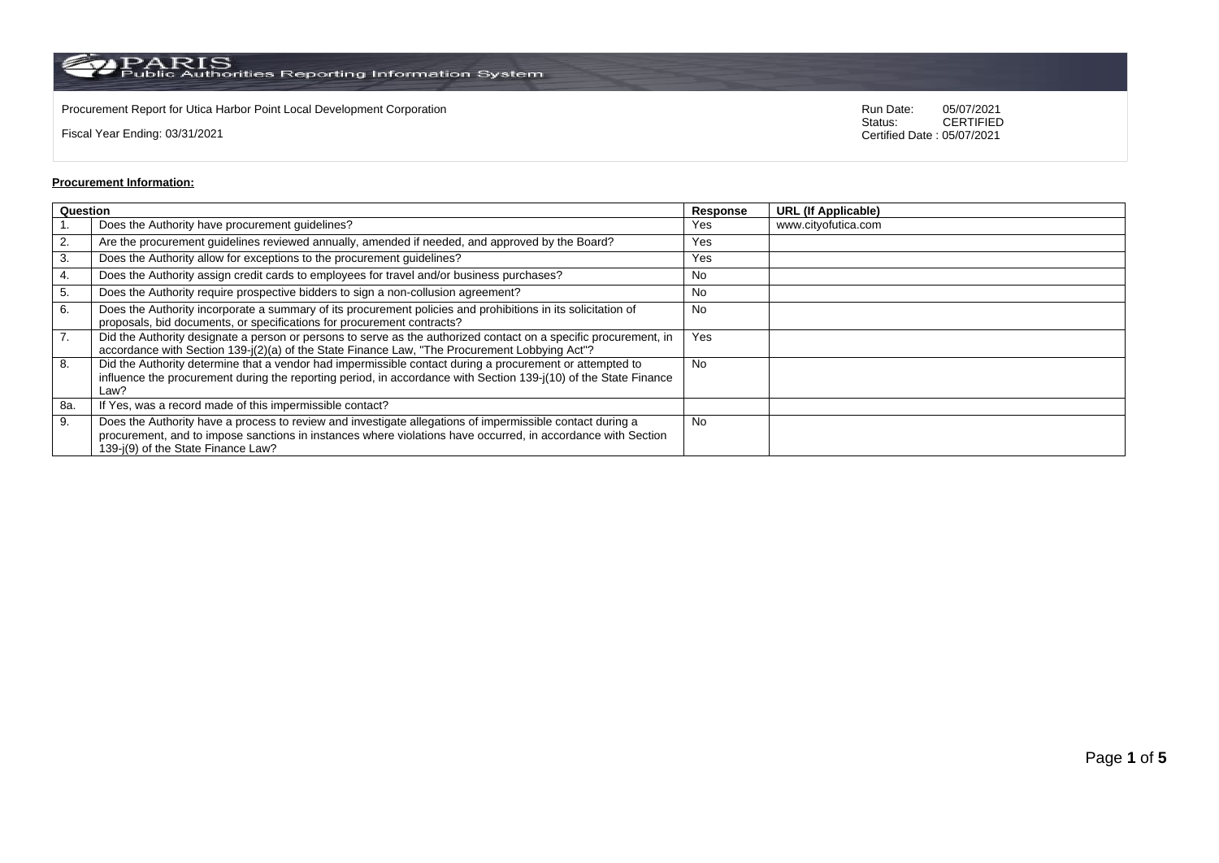$\rm PARS$  Public Authorities Reporting Information System

Procurement Report for Utica Harbor Point Local Development Corporation Run Date: 05/07/2021 Run Date: 05/07/2021 Run Date: 05/07/2021 Run Date: 05/07/2021 Run Date: 05/07/2021 Run Date: 05/07/2021 Run Date: 05/07/2021 05/

Fiscal Year Ending: 03/31/2021

05/07/2021<br>CERTIFIED Certified Date : 05/07/2021

## **Procurement Information:**

| Question |                                                                                                                                                                                                                                                                 |           | <b>URL (If Applicable)</b> |
|----------|-----------------------------------------------------------------------------------------------------------------------------------------------------------------------------------------------------------------------------------------------------------------|-----------|----------------------------|
|          | Does the Authority have procurement guidelines?                                                                                                                                                                                                                 | Yes       | www.cityofutica.com        |
| 2.       | Are the procurement guidelines reviewed annually, amended if needed, and approved by the Board?                                                                                                                                                                 | Yes       |                            |
| 3.       | Does the Authority allow for exceptions to the procurement guidelines?                                                                                                                                                                                          | Yes       |                            |
| 4.       | Does the Authority assign credit cards to employees for travel and/or business purchases?                                                                                                                                                                       | No        |                            |
| 5.       | Does the Authority require prospective bidders to sign a non-collusion agreement?                                                                                                                                                                               | No        |                            |
| 6.       | Does the Authority incorporate a summary of its procurement policies and prohibitions in its solicitation of<br>proposals, bid documents, or specifications for procurement contracts?                                                                          | <b>No</b> |                            |
| 7.       | Did the Authority designate a person or persons to serve as the authorized contact on a specific procurement, in<br>accordance with Section 139-j(2)(a) of the State Finance Law, "The Procurement Lobbying Act"?                                               | Yes       |                            |
| 8.       | Did the Authority determine that a vendor had impermissible contact during a procurement or attempted to<br>influence the procurement during the reporting period, in accordance with Section 139-j(10) of the State Finance<br>Law?                            | <b>No</b> |                            |
| 8a.      | If Yes, was a record made of this impermissible contact?                                                                                                                                                                                                        |           |                            |
| 9.       | Does the Authority have a process to review and investigate allegations of impermissible contact during a<br>procurement, and to impose sanctions in instances where violations have occurred, in accordance with Section<br>139-i(9) of the State Finance Law? | No.       |                            |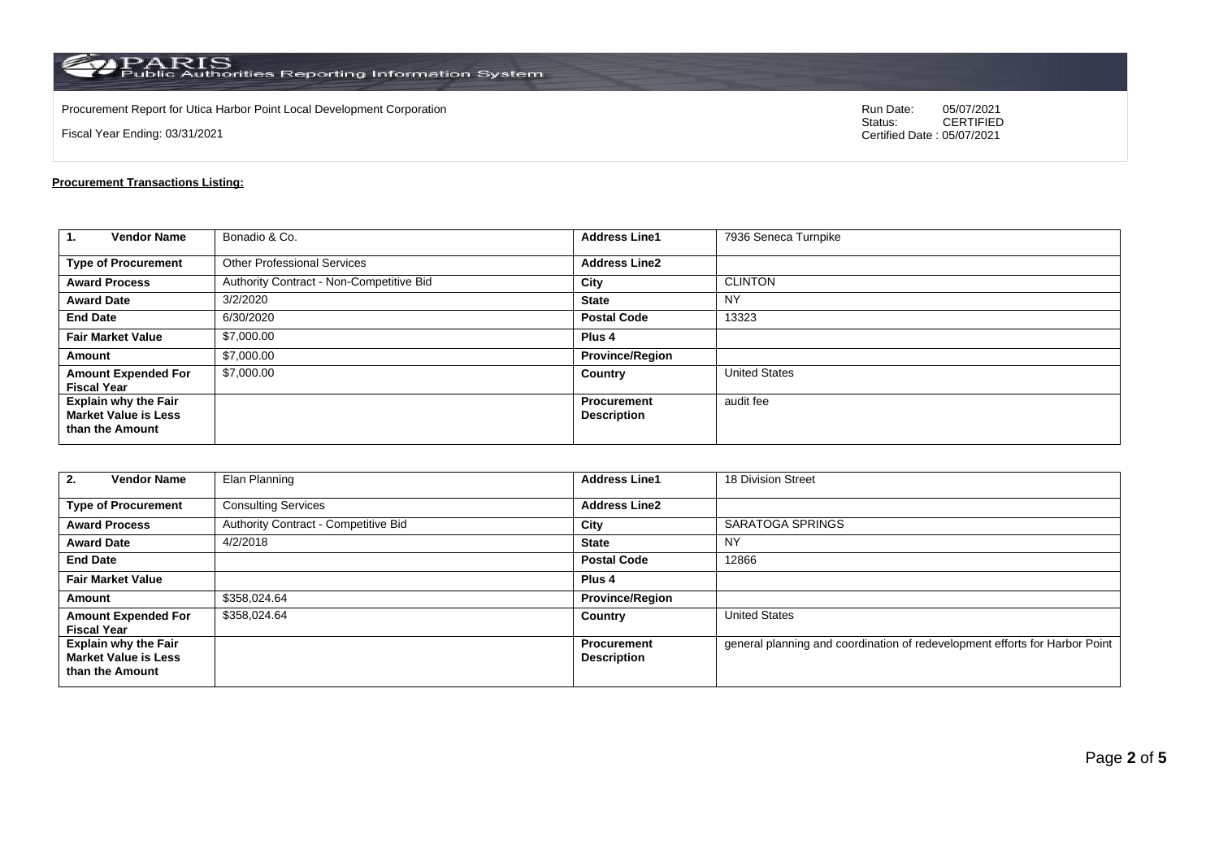$\rm PARS$  PARIS<br>Public Authorities Reporting Information System

Procurement Report for Utica Harbor Point Local Development Corporation Run Date: 05/07/2021 Run Date: 05/07/2021 Run Date: 05/07/2021 Run Date: 05/07/2021 Run Date: 05/07/2021 Run Date: 05/07/2021 Run Date: 05/07/2021 05/

Fiscal Year Ending: 03/31/2021

05/07/2021<br>CERTIFIED Certified Date : 05/07/2021

## **Procurement Transactions Listing:**

| $\mathbf{1}$<br><b>Vendor Name</b>                                            | Bonadio & Co.                            | <b>Address Line1</b>              | 7936 Seneca Turnpike |
|-------------------------------------------------------------------------------|------------------------------------------|-----------------------------------|----------------------|
| <b>Type of Procurement</b>                                                    | <b>Other Professional Services</b>       | <b>Address Line2</b>              |                      |
| <b>Award Process</b>                                                          | Authority Contract - Non-Competitive Bid | City                              | <b>CLINTON</b>       |
| <b>Award Date</b>                                                             | 3/2/2020                                 | <b>State</b>                      | <b>NY</b>            |
| <b>End Date</b>                                                               | 6/30/2020                                | <b>Postal Code</b>                | 13323                |
| <b>Fair Market Value</b>                                                      | \$7,000.00                               | Plus <sub>4</sub>                 |                      |
| Amount                                                                        | \$7,000.00                               | <b>Province/Region</b>            |                      |
| <b>Amount Expended For</b><br><b>Fiscal Year</b>                              | \$7,000.00                               | Country                           | <b>United States</b> |
| <b>Explain why the Fair</b><br><b>Market Value is Less</b><br>than the Amount |                                          | Procurement<br><b>Description</b> | audit fee            |

| <b>Vendor Name</b><br>2.                                                      | Elan Planning                        | <b>Address Line1</b>                     | 18 Division Street                                                          |
|-------------------------------------------------------------------------------|--------------------------------------|------------------------------------------|-----------------------------------------------------------------------------|
| <b>Type of Procurement</b>                                                    | <b>Consulting Services</b>           | <b>Address Line2</b>                     |                                                                             |
| <b>Award Process</b>                                                          | Authority Contract - Competitive Bid | City                                     | SARATOGA SPRINGS                                                            |
| <b>Award Date</b>                                                             | 4/2/2018                             | <b>State</b>                             | <b>NY</b>                                                                   |
| <b>End Date</b>                                                               |                                      | <b>Postal Code</b>                       | 12866                                                                       |
| <b>Fair Market Value</b>                                                      |                                      | Plus <sub>4</sub>                        |                                                                             |
| Amount                                                                        | \$358,024.64                         | <b>Province/Region</b>                   |                                                                             |
| <b>Amount Expended For</b><br><b>Fiscal Year</b>                              | \$358,024.64                         | Country                                  | <b>United States</b>                                                        |
| <b>Explain why the Fair</b><br><b>Market Value is Less</b><br>than the Amount |                                      | <b>Procurement</b><br><b>Description</b> | general planning and coordination of redevelopment efforts for Harbor Point |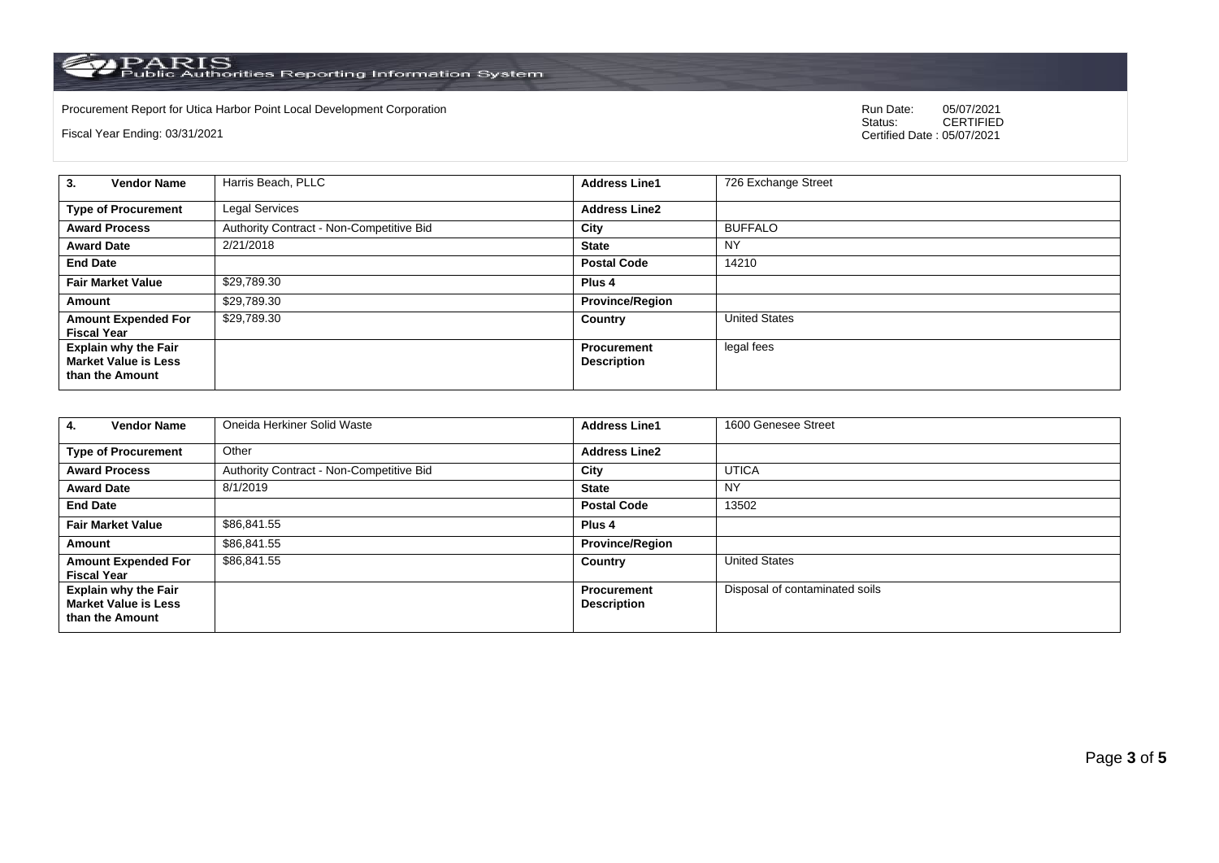PARIS<br>Public Authorities Reporting Information System

Procurement Report for Utica Harbor Point Local Development Corporation Run Date: 05/07/2021 Run Date: 05/07/2021 Run Date: 05/07/2021 Run Date: 05/07/2021 Run Date: 05/07/2021 Run Date: 05/07/2021 Run Date: 05/07/2021 05/

Fiscal Year Ending: 03/31/2021

05/07/2021<br>CERTIFIED Certified Date : 05/07/2021

| <b>Vendor Name</b><br>3.                                                      | Harris Beach, PLLC                       | <b>Address Line1</b>                     | 726 Exchange Street  |
|-------------------------------------------------------------------------------|------------------------------------------|------------------------------------------|----------------------|
| <b>Type of Procurement</b>                                                    | Legal Services                           | <b>Address Line2</b>                     |                      |
| <b>Award Process</b>                                                          | Authority Contract - Non-Competitive Bid | City                                     | <b>BUFFALO</b>       |
| <b>Award Date</b>                                                             | 2/21/2018                                | <b>State</b>                             | <b>NY</b>            |
| <b>End Date</b>                                                               |                                          | <b>Postal Code</b>                       | 14210                |
| <b>Fair Market Value</b>                                                      | \$29,789.30                              | Plus <sub>4</sub>                        |                      |
| Amount                                                                        | \$29,789.30                              | <b>Province/Region</b>                   |                      |
| <b>Amount Expended For</b><br><b>Fiscal Year</b>                              | \$29,789.30                              | Country                                  | <b>United States</b> |
| <b>Explain why the Fair</b><br><b>Market Value is Less</b><br>than the Amount |                                          | <b>Procurement</b><br><b>Description</b> | legal fees           |

| <b>Vendor Name</b><br>4.                                                      | Oneida Herkiner Solid Waste              | <b>Address Line1</b>                     | 1600 Genesee Street            |
|-------------------------------------------------------------------------------|------------------------------------------|------------------------------------------|--------------------------------|
| <b>Type of Procurement</b>                                                    | Other                                    | <b>Address Line2</b>                     |                                |
| <b>Award Process</b>                                                          | Authority Contract - Non-Competitive Bid | City                                     | <b>UTICA</b>                   |
| <b>Award Date</b>                                                             | 8/1/2019                                 | <b>State</b>                             | NY                             |
| <b>End Date</b>                                                               |                                          | <b>Postal Code</b>                       | 13502                          |
| <b>Fair Market Value</b>                                                      | \$86,841.55                              | Plus <sub>4</sub>                        |                                |
| Amount                                                                        | \$86,841.55                              | <b>Province/Region</b>                   |                                |
| <b>Amount Expended For</b><br><b>Fiscal Year</b>                              | \$86.841.55                              | Country                                  | <b>United States</b>           |
| <b>Explain why the Fair</b><br><b>Market Value is Less</b><br>than the Amount |                                          | <b>Procurement</b><br><b>Description</b> | Disposal of contaminated soils |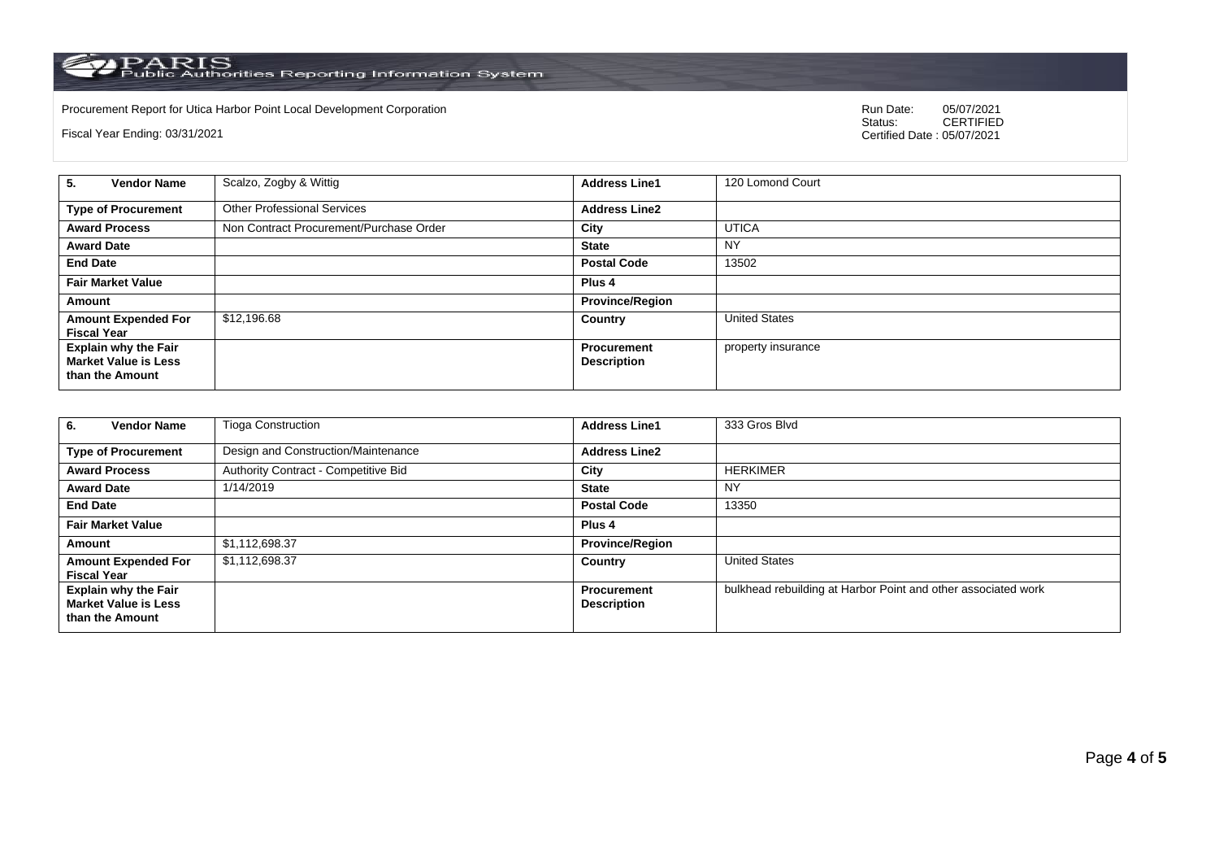PARIS<br>Public Authorities Reporting Information System

Procurement Report for Utica Harbor Point Local Development Corporation Run Date: 05/07/2021 Run Date: 05/07/2021 Run Date: 05/07/2021 Run Date: 05/07/2021 Run Date: 05/07/2021 Run Date: 05/07/2021 Run Date: 05/07/2021 05/

Fiscal Year Ending: 03/31/2021

05/07/2021<br>CERTIFIED Certified Date : 05/07/2021

| <b>Vendor Name</b><br>5.                                                      | Scalzo, Zogby & Wittig                  | <b>Address Line1</b>                     | 120 Lomond Court     |
|-------------------------------------------------------------------------------|-----------------------------------------|------------------------------------------|----------------------|
| <b>Type of Procurement</b>                                                    | <b>Other Professional Services</b>      | <b>Address Line2</b>                     |                      |
| <b>Award Process</b>                                                          | Non Contract Procurement/Purchase Order | City                                     | <b>UTICA</b>         |
| <b>Award Date</b>                                                             |                                         | <b>State</b>                             | <b>NY</b>            |
| <b>End Date</b>                                                               |                                         | <b>Postal Code</b>                       | 13502                |
| <b>Fair Market Value</b>                                                      |                                         | Plus 4                                   |                      |
| Amount                                                                        |                                         | <b>Province/Region</b>                   |                      |
| <b>Amount Expended For</b><br><b>Fiscal Year</b>                              | \$12,196.68                             | Country                                  | <b>United States</b> |
| <b>Explain why the Fair</b><br><b>Market Value is Less</b><br>than the Amount |                                         | <b>Procurement</b><br><b>Description</b> | property insurance   |

| <b>Vendor Name</b><br>6.                                                      | <b>Tioga Construction</b>            | <b>Address Line1</b>                     | 333 Gros Blvd                                                 |
|-------------------------------------------------------------------------------|--------------------------------------|------------------------------------------|---------------------------------------------------------------|
| <b>Type of Procurement</b>                                                    | Design and Construction/Maintenance  | <b>Address Line2</b>                     |                                                               |
| <b>Award Process</b>                                                          | Authority Contract - Competitive Bid | City                                     | <b>HERKIMER</b>                                               |
| <b>Award Date</b>                                                             | 1/14/2019                            | <b>State</b>                             | NY                                                            |
| <b>End Date</b>                                                               |                                      | <b>Postal Code</b>                       | 13350                                                         |
| <b>Fair Market Value</b>                                                      |                                      | Plus <sub>4</sub>                        |                                                               |
| Amount                                                                        | \$1,112,698.37                       | <b>Province/Region</b>                   |                                                               |
| <b>Amount Expended For</b><br><b>Fiscal Year</b>                              | \$1,112,698.37                       | Country                                  | <b>United States</b>                                          |
| <b>Explain why the Fair</b><br><b>Market Value is Less</b><br>than the Amount |                                      | <b>Procurement</b><br><b>Description</b> | bulkhead rebuilding at Harbor Point and other associated work |